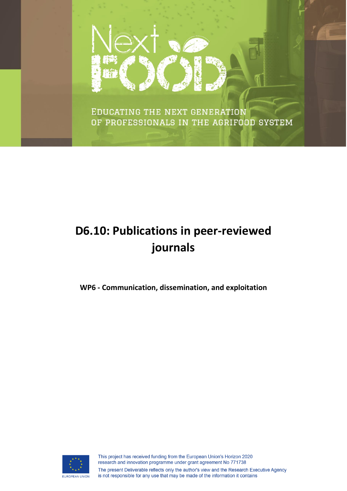

EDUCATING THE NEXT GENERATION OF PROFESSIONALS IN THE AGRIFOOD SYSTEM

# **D6.10: Publications in peer-reviewed journals**

**WP6 - Communication, dissemination, and exploitation**

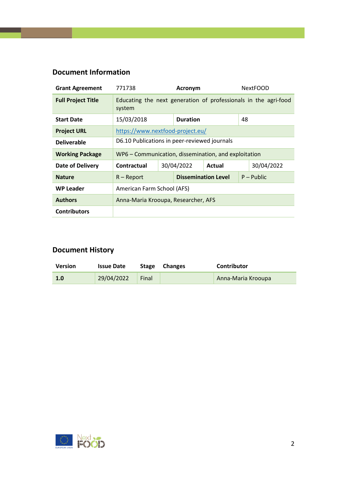#### **Document Information**

| <b>Grant Agreement</b>    | 771738<br><b>Acronym</b>                                                  |                                    | <b>NextFOOD</b>            |  |              |  |
|---------------------------|---------------------------------------------------------------------------|------------------------------------|----------------------------|--|--------------|--|
| <b>Full Project Title</b> | Educating the next generation of professionals in the agri-food<br>system |                                    |                            |  |              |  |
| <b>Start Date</b>         | 15/03/2018                                                                |                                    | <b>Duration</b>            |  | 48           |  |
| <b>Project URL</b>        | https://www.nextfood-project.eu/                                          |                                    |                            |  |              |  |
| <b>Deliverable</b>        | D6.10 Publications in peer-reviewed journals                              |                                    |                            |  |              |  |
| <b>Working Package</b>    | WP6 - Communication, dissemination, and exploitation                      |                                    |                            |  |              |  |
| <b>Date of Delivery</b>   | Contractual                                                               | 30/04/2022<br>30/04/2022<br>Actual |                            |  |              |  |
| <b>Nature</b>             | $R -$ Report                                                              |                                    | <b>Dissemination Level</b> |  | $P - Public$ |  |
| <b>WP Leader</b>          | American Farm School (AFS)                                                |                                    |                            |  |              |  |
| <b>Authors</b>            | Anna-Maria Krooupa, Researcher, AFS                                       |                                    |                            |  |              |  |
| <b>Contributors</b>       |                                                                           |                                    |                            |  |              |  |

#### **Document History**

| <b>Version</b> | <b>Issue Date</b> |       | Stage Changes | Contributor        |
|----------------|-------------------|-------|---------------|--------------------|
| 1.0            | 29/04/2022        | Final |               | Anna-Maria Krooupa |

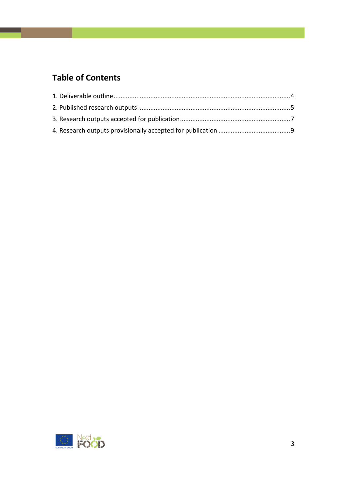#### **Table of Contents**

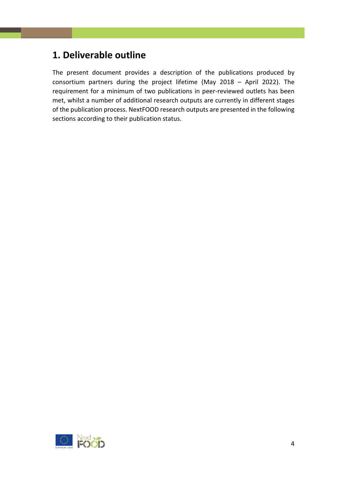#### <span id="page-3-0"></span>**1. Deliverable outline**

The present document provides a description of the publications produced by consortium partners during the project lifetime (May 2018 – April 2022). The requirement for a minimum of two publications in peer-reviewed outlets has been met, whilst a number of additional research outputs are currently in different stages of the publication process. NextFOOD research outputs are presented in the following sections according to their publication status.

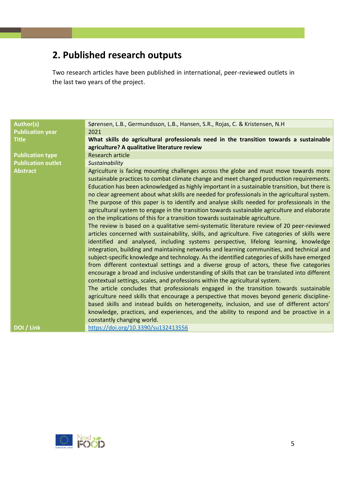## <span id="page-4-0"></span>**2. Published research outputs**

Two research articles have been published in international, peer-reviewed outlets in the last two years of the project.

| <b>Author(s)</b><br>Sørensen, L.B., Germundsson, L.B., Hansen, S.R., Rojas, C. & Kristensen, N.H.<br><b>Publication year</b><br>2021<br>What skills do agricultural professionals need in the transition towards a sustainable<br><b>Title</b><br>agriculture? A qualitative literature review<br><b>Research article</b><br><b>Publication type</b><br><b>Publication outlet</b><br>Sustainability |  |
|-----------------------------------------------------------------------------------------------------------------------------------------------------------------------------------------------------------------------------------------------------------------------------------------------------------------------------------------------------------------------------------------------------|--|
|                                                                                                                                                                                                                                                                                                                                                                                                     |  |
|                                                                                                                                                                                                                                                                                                                                                                                                     |  |
|                                                                                                                                                                                                                                                                                                                                                                                                     |  |
|                                                                                                                                                                                                                                                                                                                                                                                                     |  |
|                                                                                                                                                                                                                                                                                                                                                                                                     |  |
|                                                                                                                                                                                                                                                                                                                                                                                                     |  |
| Agriculture is facing mounting challenges across the globe and must move towards more<br><b>Abstract</b>                                                                                                                                                                                                                                                                                            |  |
| sustainable practices to combat climate change and meet changed production requirements.                                                                                                                                                                                                                                                                                                            |  |
| Education has been acknowledged as highly important in a sustainable transition, but there is                                                                                                                                                                                                                                                                                                       |  |
| no clear agreement about what skills are needed for professionals in the agricultural system.                                                                                                                                                                                                                                                                                                       |  |
| The purpose of this paper is to identify and analyse skills needed for professionals in the                                                                                                                                                                                                                                                                                                         |  |
| agricultural system to engage in the transition towards sustainable agriculture and elaborate                                                                                                                                                                                                                                                                                                       |  |
| on the implications of this for a transition towards sustainable agriculture.                                                                                                                                                                                                                                                                                                                       |  |
| The review is based on a qualitative semi-systematic literature review of 20 peer-reviewed                                                                                                                                                                                                                                                                                                          |  |
| articles concerned with sustainability, skills, and agriculture. Five categories of skills were                                                                                                                                                                                                                                                                                                     |  |
| identified and analysed, including systems perspective, lifelong learning, knowledge                                                                                                                                                                                                                                                                                                                |  |
| integration, building and maintaining networks and learning communities, and technical and                                                                                                                                                                                                                                                                                                          |  |
| subject-specific knowledge and technology. As the identified categories of skills have emerged                                                                                                                                                                                                                                                                                                      |  |
| from different contextual settings and a diverse group of actors, these five categories                                                                                                                                                                                                                                                                                                             |  |
| encourage a broad and inclusive understanding of skills that can be translated into different                                                                                                                                                                                                                                                                                                       |  |
| contextual settings, scales, and professions within the agricultural system.                                                                                                                                                                                                                                                                                                                        |  |
| The article concludes that professionals engaged in the transition towards sustainable                                                                                                                                                                                                                                                                                                              |  |
| agriculture need skills that encourage a perspective that moves beyond generic discipline-                                                                                                                                                                                                                                                                                                          |  |
| based skills and instead builds on heterogeneity, inclusion, and use of different actors'                                                                                                                                                                                                                                                                                                           |  |
| knowledge, practices, and experiences, and the ability to respond and be proactive in a                                                                                                                                                                                                                                                                                                             |  |
| constantly changing world.                                                                                                                                                                                                                                                                                                                                                                          |  |
| DOI / Link<br>https://doi.org/10.3390/su132413556                                                                                                                                                                                                                                                                                                                                                   |  |

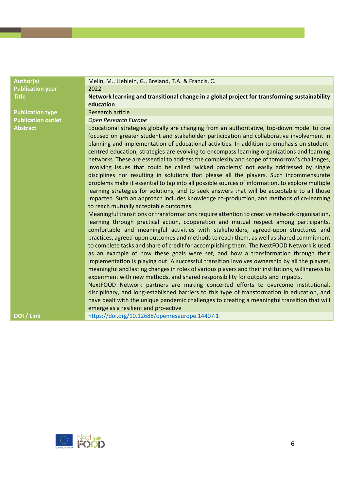| <b>Author(s)</b>          | Melin, M., Lieblein, G., Breland, T.A. & Francis, C.                                              |
|---------------------------|---------------------------------------------------------------------------------------------------|
| <b>Publication year</b>   | 2022                                                                                              |
| <b>Title</b>              | Network learning and transitional change in a global project for transforming sustainability      |
|                           | education                                                                                         |
| <b>Publication type</b>   | <b>Research article</b>                                                                           |
| <b>Publication outlet</b> | <b>Open Research Europe</b>                                                                       |
| <b>Abstract</b>           | Educational strategies globally are changing from an authoritative, top-down model to one         |
|                           | focused on greater student and stakeholder participation and collaborative involvement in         |
|                           | planning and implementation of educational activities. In addition to emphasis on student-        |
|                           | centred education, strategies are evolving to encompass learning organizations and learning       |
|                           | networks. These are essential to address the complexity and scope of tomorrow's challenges,       |
|                           | involving issues that could be called 'wicked problems' not easily addressed by single            |
|                           | disciplines nor resulting in solutions that please all the players. Such incommensurate           |
|                           | problems make it essential to tap into all possible sources of information, to explore multiple   |
|                           | learning strategies for solutions, and to seek answers that will be acceptable to all those       |
|                           | impacted. Such an approach includes knowledge co-production, and methods of co-learning           |
|                           | to reach mutually acceptable outcomes.                                                            |
|                           | Meaningful transitions or transformations require attention to creative network organisation,     |
|                           | learning through practical action, cooperation and mutual respect among participants,             |
|                           | comfortable and meaningful activities with stakeholders, agreed-upon structures and               |
|                           | practices, agreed-upon outcomes and methods to reach them, as well as shared commitment           |
|                           | to complete tasks and share of credit for accomplishing them. The NextFOOD Network is used        |
|                           | as an example of how these goals were set, and how a transformation through their                 |
|                           | implementation is playing out. A successful transition involves ownership by all the players,     |
|                           | meaningful and lasting changes in roles of various players and their institutions, willingness to |
|                           | experiment with new methods, and shared responsibility for outputs and impacts.                   |
|                           | NextFOOD Network partners are making concerted efforts to overcome institutional,                 |
|                           | disciplinary, and long-established barriers to this type of transformation in education, and      |
|                           | have dealt with the unique pandemic challenges to creating a meaningful transition that will      |
|                           | emerge as a resilient and pro-active                                                              |
| DOI / Link                | https://doi.org/10.12688/openreseurope.14407.1                                                    |
|                           |                                                                                                   |

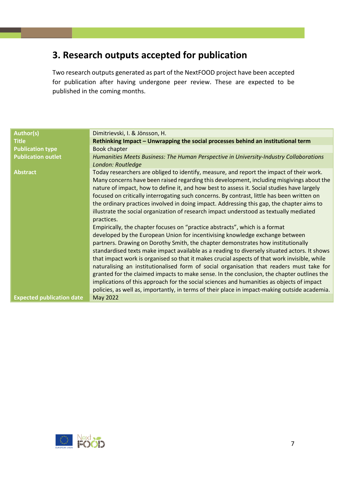## <span id="page-6-0"></span>**3. Research outputs accepted for publication**

Two research outputs generated as part of the NextFOOD project have been accepted for publication after having undergone peer review. These are expected to be published in the coming months.

| <b>Author(s)</b>                 | Dimitrievski, I. & Jönsson, H.                                                                                                                                                                                                                                                                                                                                                                                                                                                                                                                                                                                                                                                                                                                                                                                                                                                                                                                                                                                                                                                                                                                                                                                                                                                                                                   |
|----------------------------------|----------------------------------------------------------------------------------------------------------------------------------------------------------------------------------------------------------------------------------------------------------------------------------------------------------------------------------------------------------------------------------------------------------------------------------------------------------------------------------------------------------------------------------------------------------------------------------------------------------------------------------------------------------------------------------------------------------------------------------------------------------------------------------------------------------------------------------------------------------------------------------------------------------------------------------------------------------------------------------------------------------------------------------------------------------------------------------------------------------------------------------------------------------------------------------------------------------------------------------------------------------------------------------------------------------------------------------|
| <b>Title</b>                     | Rethinking Impact – Unwrapping the social processes behind an institutional term                                                                                                                                                                                                                                                                                                                                                                                                                                                                                                                                                                                                                                                                                                                                                                                                                                                                                                                                                                                                                                                                                                                                                                                                                                                 |
| <b>Publication type</b>          | <b>Book chapter</b>                                                                                                                                                                                                                                                                                                                                                                                                                                                                                                                                                                                                                                                                                                                                                                                                                                                                                                                                                                                                                                                                                                                                                                                                                                                                                                              |
| <b>Publication outlet</b>        | Humanities Meets Business: The Human Perspective in University-Industry Collaborations<br>London: Routledge                                                                                                                                                                                                                                                                                                                                                                                                                                                                                                                                                                                                                                                                                                                                                                                                                                                                                                                                                                                                                                                                                                                                                                                                                      |
| <b>Abstract</b>                  | Today researchers are obliged to identify, measure, and report the impact of their work.<br>Many concerns have been raised regarding this development, including misgivings about the<br>nature of impact, how to define it, and how best to assess it. Social studies have largely<br>focused on critically interrogating such concerns. By contrast, little has been written on<br>the ordinary practices involved in doing impact. Addressing this gap, the chapter aims to<br>illustrate the social organization of research impact understood as textually mediated<br>practices.<br>Empirically, the chapter focuses on "practice abstracts", which is a format<br>developed by the European Union for incentivising knowledge exchange between<br>partners. Drawing on Dorothy Smith, the chapter demonstrates how institutionally<br>standardised texts make impact available as a reading to diversely situated actors. It shows<br>that impact work is organised so that it makes crucial aspects of that work invisible, while<br>naturalising an institutionalised form of social organisation that readers must take for<br>granted for the claimed impacts to make sense. In the conclusion, the chapter outlines the<br>implications of this approach for the social sciences and humanities as objects of impact |
|                                  | policies, as well as, importantly, in terms of their place in impact-making outside academia.                                                                                                                                                                                                                                                                                                                                                                                                                                                                                                                                                                                                                                                                                                                                                                                                                                                                                                                                                                                                                                                                                                                                                                                                                                    |
| <b>Expected publication date</b> | May 2022                                                                                                                                                                                                                                                                                                                                                                                                                                                                                                                                                                                                                                                                                                                                                                                                                                                                                                                                                                                                                                                                                                                                                                                                                                                                                                                         |

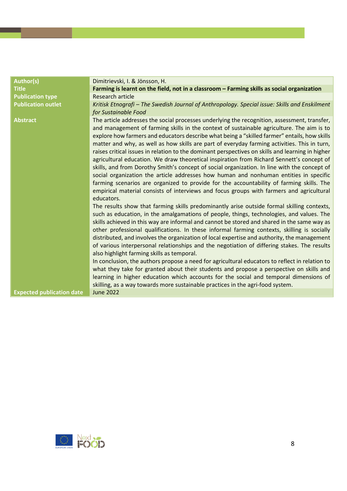| <b>Author(s)</b>                 | Dimitrievski, I. & Jönsson, H.                                                                                                                                                                                                                                                                                                                                                                                                                                                                                                                                                                                                                                                                                                                                                                                                                                                                                                                                                                                                                                                          |
|----------------------------------|-----------------------------------------------------------------------------------------------------------------------------------------------------------------------------------------------------------------------------------------------------------------------------------------------------------------------------------------------------------------------------------------------------------------------------------------------------------------------------------------------------------------------------------------------------------------------------------------------------------------------------------------------------------------------------------------------------------------------------------------------------------------------------------------------------------------------------------------------------------------------------------------------------------------------------------------------------------------------------------------------------------------------------------------------------------------------------------------|
| <b>Title</b>                     | Farming is learnt on the field, not in a classroom - Farming skills as social organization                                                                                                                                                                                                                                                                                                                                                                                                                                                                                                                                                                                                                                                                                                                                                                                                                                                                                                                                                                                              |
| <b>Publication type</b>          | <b>Research article</b>                                                                                                                                                                                                                                                                                                                                                                                                                                                                                                                                                                                                                                                                                                                                                                                                                                                                                                                                                                                                                                                                 |
| <b>Publication outlet</b>        | Kritisk Etnografi - The Swedish Journal of Anthropology. Special issue: Skills and Enskilment<br>for Sustainable Food                                                                                                                                                                                                                                                                                                                                                                                                                                                                                                                                                                                                                                                                                                                                                                                                                                                                                                                                                                   |
| <b>Abstract</b>                  | The article addresses the social processes underlying the recognition, assessment, transfer,<br>and management of farming skills in the context of sustainable agriculture. The aim is to<br>explore how farmers and educators describe what being a "skilled farmer" entails, how skills<br>matter and why, as well as how skills are part of everyday farming activities. This in turn,<br>raises critical issues in relation to the dominant perspectives on skills and learning in higher<br>agricultural education. We draw theoretical inspiration from Richard Sennett's concept of<br>skills, and from Dorothy Smith's concept of social organization. In line with the concept of<br>social organization the article addresses how human and nonhuman entities in specific<br>farming scenarios are organized to provide for the accountability of farming skills. The<br>empirical material consists of interviews and focus groups with farmers and agricultural<br>educators.<br>The results show that farming skills predominantly arise outside formal skilling contexts, |
|                                  | such as education, in the amalgamations of people, things, technologies, and values. The<br>skills achieved in this way are informal and cannot be stored and shared in the same way as<br>other professional qualifications. In these informal farming contexts, skilling is socially<br>distributed, and involves the organization of local expertise and authority, the management<br>of various interpersonal relationships and the negotiation of differing stakes. The results<br>also highlight farming skills as temporal.<br>In conclusion, the authors propose a need for agricultural educators to reflect in relation to                                                                                                                                                                                                                                                                                                                                                                                                                                                    |
|                                  | what they take for granted about their students and propose a perspective on skills and<br>learning in higher education which accounts for the social and temporal dimensions of<br>skilling, as a way towards more sustainable practices in the agri-food system.                                                                                                                                                                                                                                                                                                                                                                                                                                                                                                                                                                                                                                                                                                                                                                                                                      |
| <b>Expected publication date</b> | <b>June 2022</b>                                                                                                                                                                                                                                                                                                                                                                                                                                                                                                                                                                                                                                                                                                                                                                                                                                                                                                                                                                                                                                                                        |

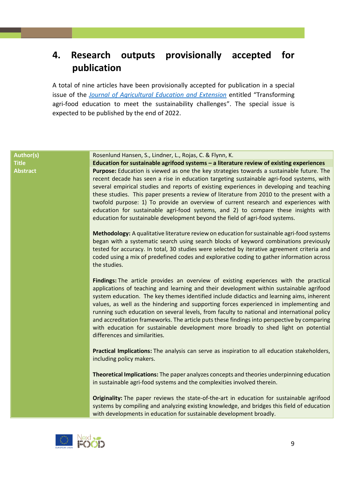### <span id="page-8-0"></span>**4. Research outputs provisionally accepted for publication**

A total of nine articles have been provisionally accepted for publication in a special issue of the *[Journal of Agricultural Education and Extension](https://www.tandfonline.com/journals/raee20)* entitled "Transforming agri-food education to meet the sustainability challenges". The special issue is expected to be published by the end of 2022.

#### **Author(s)** Rosenlund Hansen, S., Lindner, L., Rojas, C. & Flynn, K.

**Title Education for sustainable agrifood systems – a literature review of existing experiences Abstract Purpose:** Education is viewed as one the key strategies towards a sustainable future. The recent decade has seen a rise in education targeting sustainable agri-food systems, with several empirical studies and reports of existing experiences in developing and teaching these studies. This paper presents a review of literature from 2010 to the present with a twofold purpose: 1) To provide an overview of current research and experiences with education for sustainable agri-food systems, and 2) to compare these insights with education for sustainable development beyond the field of agri-food systems.

> **Methodology:** A qualitative literature review on education for sustainable agri-food systems began with a systematic search using search blocks of keyword combinations previously tested for accuracy. In total, 30 studies were selected by iterative agreement criteria and coded using a mix of predefined codes and explorative coding to gather information across the studies.

> **Findings:** The article provides an overview of existing experiences with the practical applications of teaching and learning and their development within sustainable agrifood system education. The key themes identified include didactics and learning aims, inherent values, as well as the hindering and supporting forces experienced in implementing and running such education on several levels, from faculty to national and international policy and accreditation frameworks. The article puts these findings into perspective by comparing with education for sustainable development more broadly to shed light on potential differences and similarities.

> **Practical Implications:** The analysis can serve as inspiration to all education stakeholders, including policy makers.

> **Theoretical Implications:** The paper analyzes concepts and theories underpinning education in sustainable agri-food systems and the complexities involved therein.

> **Originality:** The paper reviews the state-of-the-art in education for sustainable agrifood systems by compiling and analyzing existing knowledge, and bridges this field of education with developments in education for sustainable development broadly.

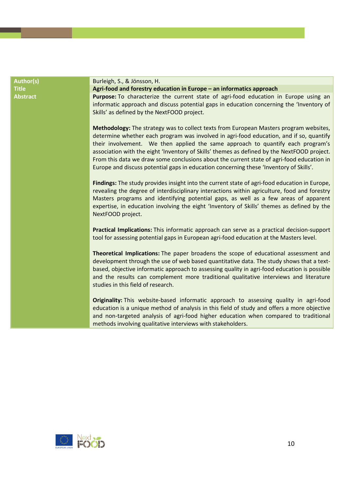| <b>Author(s)</b> | Burleigh, S., & Jönsson, H.                                                                                                                                                                                                                                                                                                                                                                                                                                                                                                                                |
|------------------|------------------------------------------------------------------------------------------------------------------------------------------------------------------------------------------------------------------------------------------------------------------------------------------------------------------------------------------------------------------------------------------------------------------------------------------------------------------------------------------------------------------------------------------------------------|
| <b>Title</b>     | Agri-food and forestry education in Europe - an informatics approach                                                                                                                                                                                                                                                                                                                                                                                                                                                                                       |
| <b>Abstract</b>  | Purpose: To characterize the current state of agri-food education in Europe using an<br>informatic approach and discuss potential gaps in education concerning the 'Inventory of<br>Skills' as defined by the NextFOOD project.                                                                                                                                                                                                                                                                                                                            |
|                  | Methodology: The strategy was to collect texts from European Masters program websites,<br>determine whether each program was involved in agri-food education, and if so, quantify<br>their involvement. We then applied the same approach to quantify each program's<br>association with the eight 'Inventory of Skills' themes as defined by the NextFOOD project.<br>From this data we draw some conclusions about the current state of agri-food education in<br>Europe and discuss potential gaps in education concerning these 'Inventory of Skills'. |
|                  | Findings: The study provides insight into the current state of agri-food education in Europe,<br>revealing the degree of interdisciplinary interactions within agriculture, food and forestry<br>Masters programs and identifying potential gaps, as well as a few areas of apparent<br>expertise, in education involving the eight 'Inventory of Skills' themes as defined by the<br>NextFOOD project.                                                                                                                                                    |
|                  | Practical Implications: This informatic approach can serve as a practical decision-support<br>tool for assessing potential gaps in European agri-food education at the Masters level.                                                                                                                                                                                                                                                                                                                                                                      |
|                  | Theoretical Implications: The paper broadens the scope of educational assessment and<br>development through the use of web based quantitative data. The study shows that a text-<br>based, objective informatic approach to assessing quality in agri-food education is possible<br>and the results can complement more traditional qualitative interviews and literature<br>studies in this field of research.                                                                                                                                            |
|                  | Originality: This website-based informatic approach to assessing quality in agri-food<br>education is a unique method of analysis in this field of study and offers a more objective<br>and non-targeted analysis of agri-food higher education when compared to traditional<br>methods involving qualitative interviews with stakeholders.                                                                                                                                                                                                                |

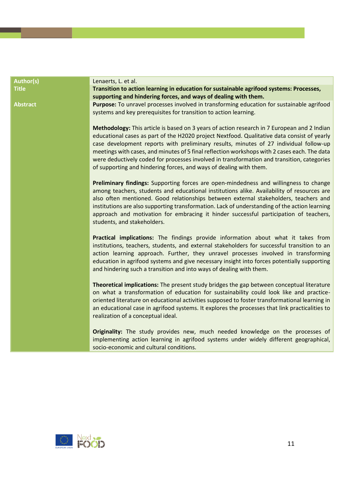| <b>Author(s)</b> | Lenaerts, L. et al.                                                                                                                                                                                                                                                                                                                                                                                                                                                                                                                                     |
|------------------|---------------------------------------------------------------------------------------------------------------------------------------------------------------------------------------------------------------------------------------------------------------------------------------------------------------------------------------------------------------------------------------------------------------------------------------------------------------------------------------------------------------------------------------------------------|
| <b>Title</b>     | Transition to action learning in education for sustainable agrifood systems: Processes,<br>supporting and hindering forces, and ways of dealing with them.                                                                                                                                                                                                                                                                                                                                                                                              |
| <b>Abstract</b>  | Purpose: To unravel processes involved in transforming education for sustainable agrifood<br>systems and key prerequisites for transition to action learning.                                                                                                                                                                                                                                                                                                                                                                                           |
|                  | Methodology: This article is based on 3 years of action research in 7 European and 2 Indian<br>educational cases as part of the H2020 project Nextfood. Qualitative data consist of yearly<br>case development reports with preliminary results, minutes of 27 individual follow-up<br>meetings with cases, and minutes of 5 final reflection workshops with 2 cases each. The data<br>were deductively coded for processes involved in transformation and transition, categories<br>of supporting and hindering forces, and ways of dealing with them. |
|                  | Preliminary findings: Supporting forces are open-mindedness and willingness to change<br>among teachers, students and educational institutions alike. Availability of resources are<br>also often mentioned. Good relationships between external stakeholders, teachers and<br>institutions are also supporting transformation. Lack of understanding of the action learning<br>approach and motivation for embracing it hinder successful participation of teachers,<br>students, and stakeholders.                                                    |
|                  | Practical implications: The findings provide information about what it takes from<br>institutions, teachers, students, and external stakeholders for successful transition to an<br>action learning approach. Further, they unravel processes involved in transforming<br>education in agrifood systems and give necessary insight into forces potentially supporting<br>and hindering such a transition and into ways of dealing with them.                                                                                                            |
|                  | Theoretical implications: The present study bridges the gap between conceptual literature<br>on what a transformation of education for sustainability could look like and practice-<br>oriented literature on educational activities supposed to foster transformational learning in<br>an educational case in agrifood systems. It explores the processes that link practicalities to<br>realization of a conceptual ideal.                                                                                                                            |
|                  | Originality: The study provides new, much needed knowledge on the processes of<br>implementing action learning in agrifood systems under widely different geographical,<br>socio-economic and cultural conditions.                                                                                                                                                                                                                                                                                                                                      |

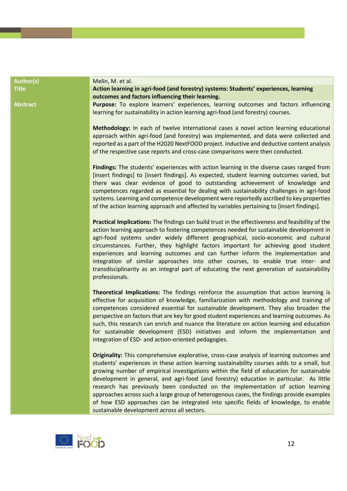| <b>Author(s)</b> | Melin, M. et al.                                                                                                                                                                                                                                                                                                                                                                                                                                                                                                                                                                                                                                                                                      |
|------------------|-------------------------------------------------------------------------------------------------------------------------------------------------------------------------------------------------------------------------------------------------------------------------------------------------------------------------------------------------------------------------------------------------------------------------------------------------------------------------------------------------------------------------------------------------------------------------------------------------------------------------------------------------------------------------------------------------------|
| <b>Title</b>     | Action learning in agri-food (and forestry) systems: Students' experiences, learning                                                                                                                                                                                                                                                                                                                                                                                                                                                                                                                                                                                                                  |
|                  | outcomes and factors influencing their learning.                                                                                                                                                                                                                                                                                                                                                                                                                                                                                                                                                                                                                                                      |
| <b>Abstract</b>  | Purpose: To explore learners' experiences, learning outcomes and factors influencing                                                                                                                                                                                                                                                                                                                                                                                                                                                                                                                                                                                                                  |
|                  | learning for sustainability in action learning agri-food (and forestry) courses.                                                                                                                                                                                                                                                                                                                                                                                                                                                                                                                                                                                                                      |
|                  | Methodology: In each of twelve international cases a novel action learning educational<br>approach within agri-food (and forestry) was implemented, and data were collected and<br>reported as a part of the H2020 NextFOOD project. Inductive and deductive content analysis<br>of the respective case reports and cross-case comparisons were then conducted.                                                                                                                                                                                                                                                                                                                                       |
|                  | Findings: The students' experiences with action learning in the diverse cases ranged from<br>[insert findings] to [insert findings]. As expected, student learning outcomes varied, but<br>there was clear evidence of good to outstanding achievement of knowledge and<br>competences regarded as essential for dealing with sustainability challenges in agri-food<br>systems. Learning and competence development were reportedly ascribed to key properties<br>of the action learning approach and affected by variables pertaining to [insert findings].                                                                                                                                         |
|                  | Practical Implications: The findings can build trust in the effectiveness and feasibility of the<br>action learning approach to fostering competences needed for sustainable development in<br>agri-food systems under widely different geographical, socio-economic and cultural<br>circumstances. Further, they highlight factors important for achieving good student<br>experiences and learning outcomes and can further inform the implementation and<br>integration of similar approaches into other courses, to enable true inter- and<br>transdisciplinarity as an integral part of educating the next generation of sustainability<br>professionals.                                        |
|                  | Theoretical Implications: The findings reinforce the assumption that action learning is<br>effective for acquisition of knowledge, familiarization with methodology and training of<br>competences considered essential for sustainable development. They also broaden the<br>perspective on factors that are key for good student experiences and learning outcomes. As<br>such, this research can enrich and nuance the literature on action learning and education<br>for sustainable development (ESD) initiatives and inform the implementation and<br>integration of ESD- and action-oriented pedagogies.                                                                                       |
|                  | Originality: This comprehensive explorative, cross-case analysis of learning outcomes and<br>students' experiences in these action learning sustainability courses adds to a small, but<br>growing number of empirical investigations within the field of education for sustainable<br>development in general, and agri-food (and forestry) education in particular. As little<br>research has previously been conducted on the implementation of action learning<br>approaches across such a large group of heterogenous cases, the findings provide examples<br>of how ESD approaches can be integrated into specific fields of knowledge, to enable<br>sustainable development across all sectors. |

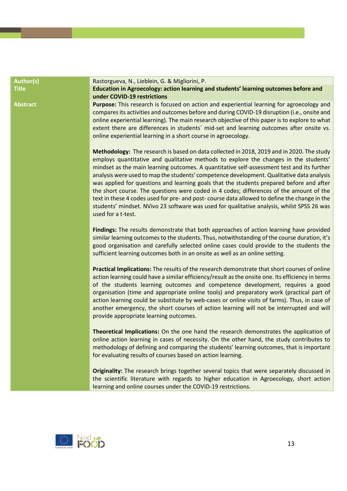| <b>Author(s)</b> | Rastorgueva, N., Lieblein, G. & Migliorini, P.                                                                                                                                                                                                                                                                                                                                                                                                                                                                                                                                                                                                                                                                                                                                          |
|------------------|-----------------------------------------------------------------------------------------------------------------------------------------------------------------------------------------------------------------------------------------------------------------------------------------------------------------------------------------------------------------------------------------------------------------------------------------------------------------------------------------------------------------------------------------------------------------------------------------------------------------------------------------------------------------------------------------------------------------------------------------------------------------------------------------|
| <b>Title</b>     | Education in Agroecology: action learning and students' learning outcomes before and<br>under COVID-19 restrictions                                                                                                                                                                                                                                                                                                                                                                                                                                                                                                                                                                                                                                                                     |
| <b>Abstract</b>  | Purpose: This research is focused on action and experiential learning for agroecology and<br>compares its activities and outcomes before and during COVID-19 disruption (i.e., onsite and<br>online experiential learning). The main research objective of this paper is to explore to what<br>extent there are differences in students' mid-set and learning outcomes after onsite vs.<br>online experiential learning in a short course in agroecology.                                                                                                                                                                                                                                                                                                                               |
|                  | Methodology: The research is based on data collected in 2018, 2019 and in 2020. The study<br>employs quantitative and qualitative methods to explore the changes in the students'<br>mindset as the main learning outcomes. A quantitative self-assessment test and its further<br>analysis were used to map the students' competence development. Qualitative data analysis<br>was applied for questions and learning goals that the students prepared before and after<br>the short course. The questions were coded in 4 codes; differences of the amount of the<br>text in these 4 codes used for pre- and post-course data allowed to define the change in the<br>students' mindset. NVivo 23 software was used for qualitative analysis, whilst SPSS 26 was<br>used for a t-test. |
|                  | Findings: The results demonstrate that both approaches of action learning have provided<br>similar learning outcomes to the students. Thus, notwithstanding of the course duration, it's<br>good organisation and carefully selected online cases could provide to the students the<br>sufficient learning outcomes both in an onsite as well as an online setting.                                                                                                                                                                                                                                                                                                                                                                                                                     |
|                  | Practical Implications: The results of the research demonstrate that short courses of online<br>action learning could have a similar efficiency/result as the onsite one. Its efficiency in terms<br>of the students learning outcomes and competence development, requires a good<br>organisation (time and appropriate online tools) and preparatory work (practical part of<br>action learning could be substitute by web-cases or online visits of farms). Thus, in case of<br>another emergency, the short courses of action learning will not be interrupted and will<br>provide appropriate learning outcomes.                                                                                                                                                                   |
|                  | Theoretical Implications: On the one hand the research demonstrates the application of<br>online action learning in cases of necessity. On the other hand, the study contributes to<br>methodology of defining and comparing the students' learning outcomes, that is important<br>for evaluating results of courses based on action learning.                                                                                                                                                                                                                                                                                                                                                                                                                                          |
|                  | Originality: The research brings together several topics that were separately discussed in<br>the scientific literature with regards to higher education in Agroecology, short action<br>learning and online courses under the COVID-19 restrictions.                                                                                                                                                                                                                                                                                                                                                                                                                                                                                                                                   |

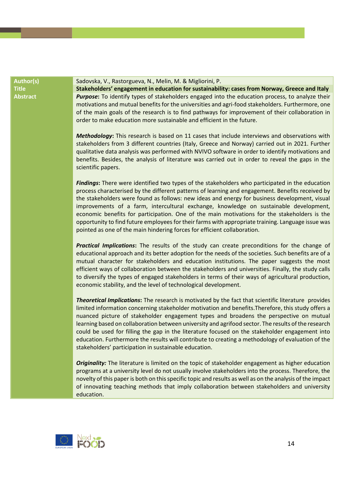**Author(s)** Sadovska, V., Rastorgueva, N., Melin, M. & Migliorini, P.

**Title Stakeholders' engagement in education for sustainability: cases from Norway, Greece and Italy Abstract** *Purpose***:** To identify types of stakeholders engaged into the education process, to analyze their motivations and mutual benefits for the universities and agri-food stakeholders. Furthermore, one of the main goals of the research is to find pathways for improvement of their collaboration in order to make education more sustainable and efficient in the future.

> *Methodology***:** This research is based on 11 cases that include interviews and observations with stakeholders from 3 different countries (Italy, Greece and Norway) carried out in 2021. Further qualitative data analysis was performed with NVIVO software in order to identify motivations and benefits. Besides, the analysis of literature was carried out in order to reveal the gaps in the scientific papers.

> *Findings***:** There were identified two types of the stakeholders who participated in the education process characterised by the different patterns of learning and engagement. Benefits received by the stakeholders were found as follows: new ideas and energy for business development, visual improvements of a farm, intercultural exchange, knowledge on sustainable development, economic benefits for participation. One of the main motivations for the stakeholders is the opportunity to find future employees for their farms with appropriate training. Language issue was pointed as one of the main hindering forces for efficient collaboration.

> *Practical Implications***:** The results of the study can create preconditions for the change of educational approach and its better adoption for the needs of the societies. Such benefits are of a mutual character for stakeholders and education institutions. The paper suggests the most efficient ways of collaboration between the stakeholders and universities. Finally, the study calls to diversify the types of engaged stakeholders in terms of their ways of agricultural production, economic stability, and the level of technological development.

> *Theoretical Implications***:** The research is motivated by the fact that scientific literature provides limited information concerning stakeholder motivation and benefits.Therefore, this study offers a nuanced picture of stakeholder engagement types and broadens the perspective on mutual learning based on collaboration between university and agrifood sector. The results of the research could be used for filling the gap in the literature focused on the stakeholder engagement into education. Furthermore the results will contribute to creating a methodology of evaluation of the stakeholders' participation in sustainable education.

> *Originality:* The literature is limited on the topic of stakeholder engagement as higher education programs at a university level do not usually involve stakeholders into the process. Therefore, the novelty of this paper is both on this specific topic and results as well as on the analysis of the impact of innovating teaching methods that imply collaboration between stakeholders and university education.

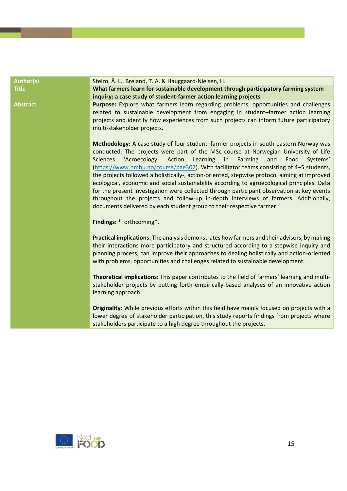| <b>Author(s)</b> | Steiro, Å. L., Breland, T. A. & Hauggaard-Nielsen, H.                                                                                                                                                                                                                                                                                                                                                                                                                                                                                                                                                                                                                                                                                                                                                                                      |
|------------------|--------------------------------------------------------------------------------------------------------------------------------------------------------------------------------------------------------------------------------------------------------------------------------------------------------------------------------------------------------------------------------------------------------------------------------------------------------------------------------------------------------------------------------------------------------------------------------------------------------------------------------------------------------------------------------------------------------------------------------------------------------------------------------------------------------------------------------------------|
| <b>Title</b>     | What farmers learn for sustainable development through participatory farming system<br>inquiry: a case study of student-farmer action learning projects                                                                                                                                                                                                                                                                                                                                                                                                                                                                                                                                                                                                                                                                                    |
| <b>Abstract</b>  | Purpose: Explore what farmers learn regarding problems, opportunities and challenges<br>related to sustainable development from engaging in student-farmer action learning<br>projects and identify how experiences from such projects can inform future participatory<br>multi-stakeholder projects.                                                                                                                                                                                                                                                                                                                                                                                                                                                                                                                                      |
|                  | Methodology: A case study of four student-farmer projects in south-eastern Norway was<br>conducted. The projects were part of the MSc course at Norwegian University of Life<br>'Acroecology:<br>Action<br><b>Sciences</b><br>Learning<br>Farming<br>and<br>in<br>Food<br>Systems'<br>(https://www.nmbu.no/course/pae302). With facilitator teams consisting of 4-5 students,<br>the projects followed a holistically-, action-oriented, stepwise protocol aiming at improved<br>ecological, economic and social sustainability according to agroecological principles. Data<br>for the present investigation were collected through participant observation at key events<br>throughout the projects and follow-up in-depth interviews of farmers. Additionally,<br>documents delivered by each student group to their respective farmer. |
|                  | Findings: *Forthcoming*.                                                                                                                                                                                                                                                                                                                                                                                                                                                                                                                                                                                                                                                                                                                                                                                                                   |
|                  | Practical implications: The analysis demonstrates how farmers and their advisors, by making<br>their interactions more participatory and structured according to a stepwise inquiry and<br>planning process, can improve their approaches to dealing holistically and action-oriented<br>with problems, opportunities and challenges related to sustainable development.                                                                                                                                                                                                                                                                                                                                                                                                                                                                   |
|                  | Theoretical implications: This paper contributes to the field of farmers' learning and multi-<br>stakeholder projects by putting forth empirically-based analyses of an innovative action<br>learning approach.                                                                                                                                                                                                                                                                                                                                                                                                                                                                                                                                                                                                                            |
|                  | Originality: While previous efforts within this field have mainly focused on projects with a<br>lower degree of stakeholder participation, this study reports findings from projects where<br>stakeholders participate to a high degree throughout the projects.                                                                                                                                                                                                                                                                                                                                                                                                                                                                                                                                                                           |

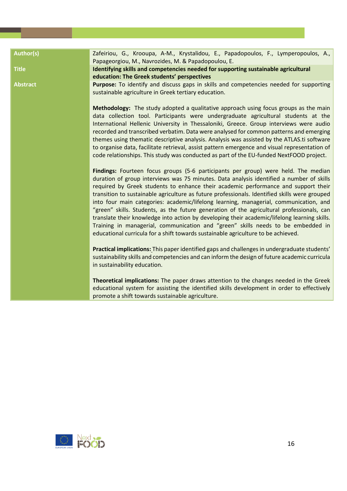| <b>Author(s)</b> | Zafeiriou, G., Krooupa, A-M., Krystalidou, E., Papadopoulos, F., Lymperopoulos, A.,<br>Papageorgiou, M., Navrozides, M. & Papadopoulou, E.                                                                                                                                                                                                                                                                                                                                                                                                                                                                                                                                                                                                                                                                                           |
|------------------|--------------------------------------------------------------------------------------------------------------------------------------------------------------------------------------------------------------------------------------------------------------------------------------------------------------------------------------------------------------------------------------------------------------------------------------------------------------------------------------------------------------------------------------------------------------------------------------------------------------------------------------------------------------------------------------------------------------------------------------------------------------------------------------------------------------------------------------|
| <b>Title</b>     | Identifying skills and competencies needed for supporting sustainable agricultural<br>education: The Greek students' perspectives                                                                                                                                                                                                                                                                                                                                                                                                                                                                                                                                                                                                                                                                                                    |
| <b>Abstract</b>  | Purpose: To identify and discuss gaps in skills and competencies needed for supporting<br>sustainable agriculture in Greek tertiary education.                                                                                                                                                                                                                                                                                                                                                                                                                                                                                                                                                                                                                                                                                       |
|                  | Methodology: The study adopted a qualitative approach using focus groups as the main<br>data collection tool. Participants were undergraduate agricultural students at the<br>International Hellenic University in Thessaloniki, Greece. Group interviews were audio<br>recorded and transcribed verbatim. Data were analysed for common patterns and emerging<br>themes using thematic descriptive analysis. Analysis was assisted by the ATLAS.ti software<br>to organise data, facilitate retrieval, assist pattern emergence and visual representation of<br>code relationships. This study was conducted as part of the EU-funded NextFOOD project.                                                                                                                                                                             |
|                  | Findings: Fourteen focus groups (5-6 participants per group) were held. The median<br>duration of group interviews was 75 minutes. Data analysis identified a number of skills<br>required by Greek students to enhance their academic performance and support their<br>transition to sustainable agriculture as future professionals. Identified skills were grouped<br>into four main categories: academic/lifelong learning, managerial, communication, and<br>"green" skills. Students, as the future generation of the agricultural professionals, can<br>translate their knowledge into action by developing their academic/lifelong learning skills.<br>Training in managerial, communication and "green" skills needs to be embedded in<br>educational curricula for a shift towards sustainable agriculture to be achieved. |
|                  | Practical implications: This paper identified gaps and challenges in undergraduate students'<br>sustainability skills and competencies and can inform the design of future academic curricula<br>in sustainability education.                                                                                                                                                                                                                                                                                                                                                                                                                                                                                                                                                                                                        |
|                  | Theoretical implications: The paper draws attention to the changes needed in the Greek<br>educational system for assisting the identified skills development in order to effectively<br>promote a shift towards sustainable agriculture.                                                                                                                                                                                                                                                                                                                                                                                                                                                                                                                                                                                             |